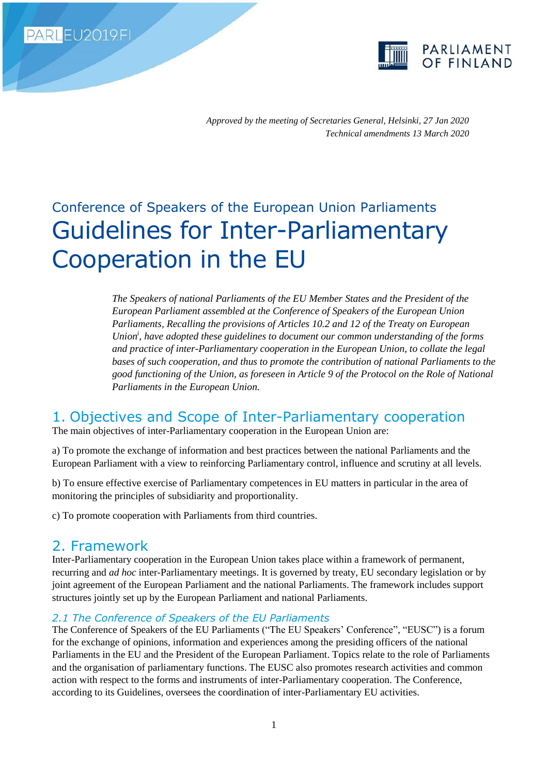PARLEU2019.FI



*Approved by the meeting of Secretaries General, Helsinki, 27 Jan 2020 Technical amendments 13 March 2020*

# Conference of Speakers of the European Union Parliaments Guidelines for Inter-Parliamentary Cooperation in the EU

*The Speakers of national Parliaments of the EU Member States and the President of the European Parliament assembled at the Conference of Speakers of the European Union Parliaments, Recalling the provisions of Articles 10.2 and 12 of the Treaty on European Union<sup>i</sup> , have adopted these guidelines to document our common understanding of the forms and practice of inter-Parliamentary cooperation in the European Union, to collate the legal bases of such cooperation, and thus to promote the contribution of national Parliaments to the good functioning of the Union, as foreseen in Article 9 of the Protocol on the Role of National Parliaments in the European Union.*

# 1. Objectives and Scope of Inter-Parliamentary cooperation

The main objectives of inter-Parliamentary cooperation in the European Union are:

a) To promote the exchange of information and best practices between the national Parliaments and the European Parliament with a view to reinforcing Parliamentary control, influence and scrutiny at all levels.

b) To ensure effective exercise of Parliamentary competences in EU matters in particular in the area of monitoring the principles of subsidiarity and proportionality.

c) To promote cooperation with Parliaments from third countries.

# 2. Framework

Inter-Parliamentary cooperation in the European Union takes place within a framework of permanent, recurring and *ad hoc* inter-Parliamentary meetings. It is governed by treaty, EU secondary legislation or by joint agreement of the European Parliament and the national Parliaments. The framework includes support structures jointly set up by the European Parliament and national Parliaments.

### *2.1 The Conference of Speakers of the EU Parliaments*

The Conference of Speakers of the EU Parliaments ("The EU Speakers' Conference", "EUSC") is a forum for the exchange of opinions, information and experiences among the presiding officers of the national Parliaments in the EU and the President of the European Parliament. Topics relate to the role of Parliaments and the organisation of parliamentary functions. The EUSC also promotes research activities and common action with respect to the forms and instruments of inter-Parliamentary cooperation. The Conference, according to its Guidelines, oversees the coordination of inter-Parliamentary EU activities.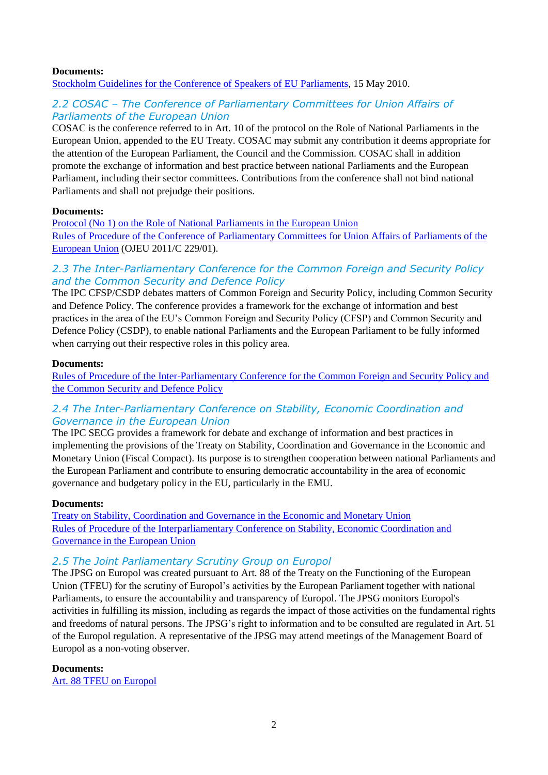#### **Documents:**

[Stockholm Guidelines for the Conference of Speakers of EU Parliaments,](http://ipex.eu/IPEXL-WEB/dossier/files/download/082dbcc54b222e18014b505220e5365f.do) 15 May 2010.

# *2.2 COSAC – The Conference of Parliamentary Committees for Union Affairs of Parliaments of the European Union*

COSAC is the conference referred to in Art. 10 of the protocol on the Role of National Parliaments in the European Union, appended to the EU Treaty. COSAC may submit any contribution it deems appropriate for the attention of the European Parliament, the Council and the Commission. COSAC shall in addition promote the exchange of information and best practice between national Parliaments and the European Parliament, including their sector committees. Contributions from the conference shall not bind national Parliaments and shall not prejudge their positions.

#### **Documents:**

[Protocol \(No 1\) on the Role of National Parliaments in the European Union](https://eur-lex.europa.eu/legal-content/EN/TXT/?qid=1507821450880&uri=CELEX:12016M/TXT#d1e83-201-1) [Rules of Procedure of the Conference of Parliamentary Committees for Union Affairs of Parliaments of the](http://ipex.eu/IPEXL-WEB/dossier/files/download/082dbcc564afa0210164b2e954b4030b.do)  [European Union](http://ipex.eu/IPEXL-WEB/dossier/files/download/082dbcc564afa0210164b2e954b4030b.do) (OJEU 2011/C 229/01).

# *2.3 The Inter-Parliamentary Conference for the Common Foreign and Security Policy and the Common Security and Defence Policy*

The IPC CFSP/CSDP debates matters of Common Foreign and Security Policy, including Common Security and Defence Policy. The conference provides a framework for the exchange of information and best practices in the area of the EU's Common Foreign and Security Policy (CFSP) and Common Security and Defence Policy (CSDP), to enable national Parliaments and the European Parliament to be fully informed when carrying out their respective roles in this policy area.

#### **Documents:**

[Rules of Procedure of the Inter-Parliamentary Conference for the Common Foreign and Security Policy and](http://ipex.eu/IPEXL-WEB/dossier/files/download/082dbcc54b222e18014b5040e5453653.do)  [the Common Security and Defence Policy](http://ipex.eu/IPEXL-WEB/dossier/files/download/082dbcc54b222e18014b5040e5453653.do)

# *2.4 The Inter-Parliamentary Conference on Stability, Economic Coordination and Governance in the European Union*

The IPC SECG provides a framework for debate and exchange of information and best practices in implementing the provisions of the Treaty on Stability, Coordination and Governance in the Economic and Monetary Union (Fiscal Compact). Its purpose is to strengthen cooperation between national Parliaments and the European Parliament and contribute to ensuring democratic accountability in the area of economic governance and budgetary policy in the EU, particularly in the EMU.

#### **Documents:**

[Treaty on Stability, Coordination and Governance in the Economic and Monetary Union](https://www.consilium.europa.eu/media/20399/st00tscg26_en12.pdf) [Rules of Procedure of the Interparliamentary Conference on Stability, Economic Coordination and](http://ipex.eu/IPEXL-WEB/dossier/files/download/082dbcc552572ef9015259413ba101a0.do)  [Governance in the European Union](http://ipex.eu/IPEXL-WEB/dossier/files/download/082dbcc552572ef9015259413ba101a0.do)

# *2.5 The Joint Parliamentary Scrutiny Group on Europol*

The JPSG on Europol was created pursuant to Art. 88 of the Treaty on the Functioning of the European Union (TFEU) for the scrutiny of Europol's activities by the European Parliament together with national Parliaments, to ensure the accountability and transparency of Europol. The JPSG monitors Europol's activities in fulfilling its mission, including as regards the impact of those activities on the fundamental rights and freedoms of natural persons. The JPSG's right to information and to be consulted are regulated in Art. 51 of the Europol regulation. A representative of the JPSG may attend meetings of the Management Board of Europol as a non-voting observer.

#### **Documents:**

[Art. 88 TFEU on Europol](http://ipex.eu/IPEXL-WEB/dossier/files/download/082dbcc5667f1c7a016681c9c07302d5.do)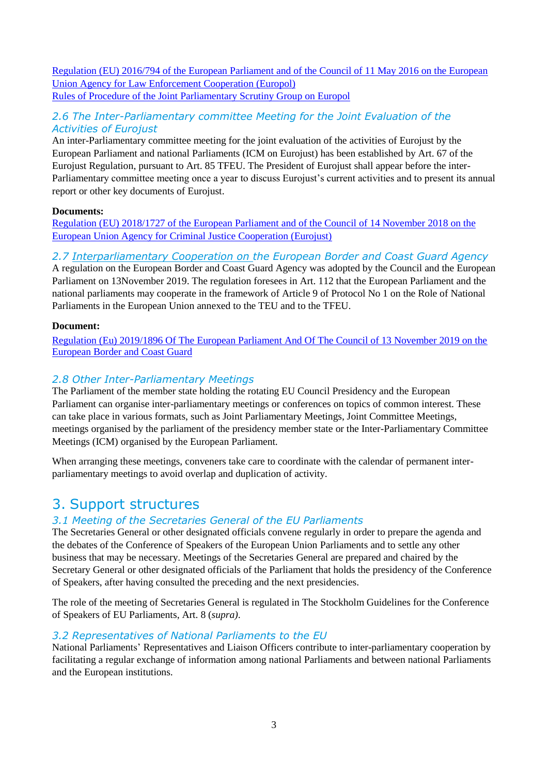[Regulation \(EU\) 2016/794 of the European Parliament](http://ipex.eu/IPEXL-WEB/dossier/files/download/082dbcc5667f1c7a016681c28cec02cb.do) and of the Council of 11 May 2016 on the European [Union Agency for Law Enforcement Cooperation \(Europol\)](http://ipex.eu/IPEXL-WEB/dossier/files/download/082dbcc5667f1c7a016681c28cec02cb.do) [Rules of Procedure of the Joint Parliamentary Scrutiny Group on Europol](http://ipex.eu/IPEXL-WEB/dossier/files/download/082dbcc5667f1c7a016681c06d1702c8.do)

# *2.6 The Inter-Parliamentary committee Meeting for the Joint Evaluation of the Activities of Eurojust*

An inter-Parliamentary committee meeting for the joint evaluation of the activities of Eurojust by the European Parliament and national Parliaments (ICM on Eurojust) has been established by Art. 67 of the Eurojust Regulation, pursuant to Art. 85 TFEU. The President of Eurojust shall appear before the inter-Parliamentary committee meeting once a year to discuss Eurojust's current activities and to present its annual report or other key documents of Eurojust.

### **Documents:**

[Regulation \(EU\) 2018/1727 of the European Parliament](https://eur-lex.europa.eu/legal-content/EN/TXT/?uri=CELEX%3A32018R1727) and of the Council of 14 November 2018 on the [European Union Agency for Criminal Justice Cooperation \(Eurojust\)](https://eur-lex.europa.eu/legal-content/EN/TXT/?uri=CELEX%3A32018R1727)

# *2.7 Interparliamentary Cooperation on the European Border and Coast Guard Agency*

A regulation on the European Border and Coast Guard Agency was adopted by the Council and the European Parliament on 13November 2019. The regulation foresees in Art. 112 that the European Parliament and the national parliaments may cooperate in the framework of Article 9 of Protocol No 1 on the Role of National Parliaments in the European Union annexed to the TEU and to the TFEU.

#### **Document:**

[Regulation \(Eu\) 2019/1896 Of The European Parliament And Of The Council of 13 November 2019 on the](https://eur-lex.europa.eu/legal-content/EN/TXT/PDF/?uri=CELEX:32019R1896&from=EN)  [European Border and Coast Guard](https://eur-lex.europa.eu/legal-content/EN/TXT/PDF/?uri=CELEX:32019R1896&from=EN)

# *2.8 Other Inter-Parliamentary Meetings*

The Parliament of the member state holding the rotating EU Council Presidency and the European Parliament can organise inter-parliamentary meetings or conferences on topics of common interest. These can take place in various formats, such as Joint Parliamentary Meetings, Joint Committee Meetings, meetings organised by the parliament of the presidency member state or the Inter-Parliamentary Committee Meetings (ICM) organised by the European Parliament.

When arranging these meetings, conveners take care to coordinate with the calendar of permanent interparliamentary meetings to avoid overlap and duplication of activity.

# 3. Support structures

# *3.1 Meeting of the Secretaries General of the EU Parliaments*

The Secretaries General or other designated officials convene regularly in order to prepare the agenda and the debates of the Conference of Speakers of the European Union Parliaments and to settle any other business that may be necessary. Meetings of the Secretaries General are prepared and chaired by the Secretary General or other designated officials of the Parliament that holds the presidency of the Conference of Speakers, after having consulted the preceding and the next presidencies.

The role of the meeting of Secretaries General is regulated in The Stockholm Guidelines for the Conference of Speakers of EU Parliaments, Art. 8 (*supra)*.

### *3.2 Representatives of National Parliaments to the EU*

National Parliaments' Representatives and Liaison Officers contribute to inter-parliamentary cooperation by facilitating a regular exchange of information among national Parliaments and between national Parliaments and the European institutions.